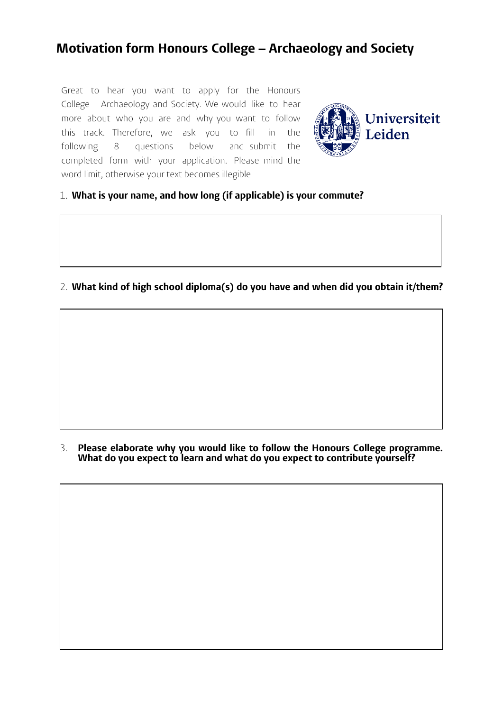## **Motivation form Honours College – Archaeology and Society**

Great to hear you want to apply for the Honours College Archaeology and Society. We would like to hear more about who you are and why you want to follow this track. Therefore, we ask you to fill in the following 8 questions below and submit the completed form with your application. Please mind the word limit, otherwise your text becomes illegible



## 1. **What is your name, and how long (if applicable) is your commute?**

## 2. **What kind of high school diploma(s) do you have and when did you obtain it/them?**

3. **Please elaborate why you would like to follow the Honours College programme. What do you expect to learn and what do you expect to contribute yourself?**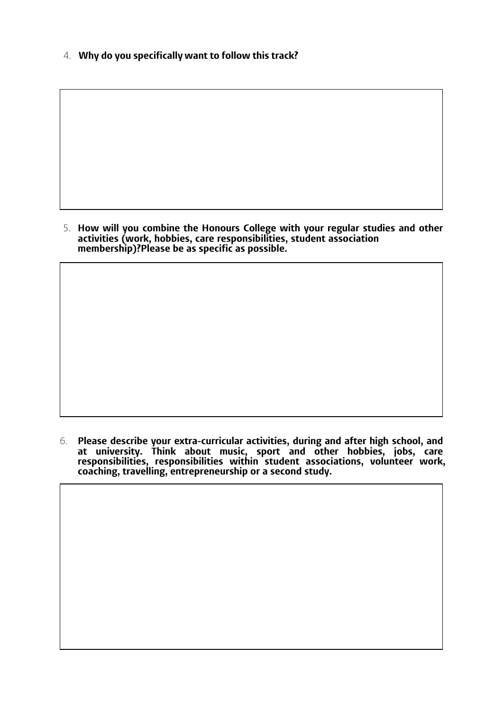4. **Why do you specifically want to follow this track?**

5. **How will you combine the Honours College with your regular studies and other activities (work, hobbies, care responsibilities, student association membership)?Please be as specific as possible.**

6. **Please describe your extra-curricular activities, during and after high school, and at university. Think about music, sport and other hobbies, jobs, care responsibilities, responsibilities within student associations, volunteer work, coaching, travelling, entrepreneurship or a second study.**